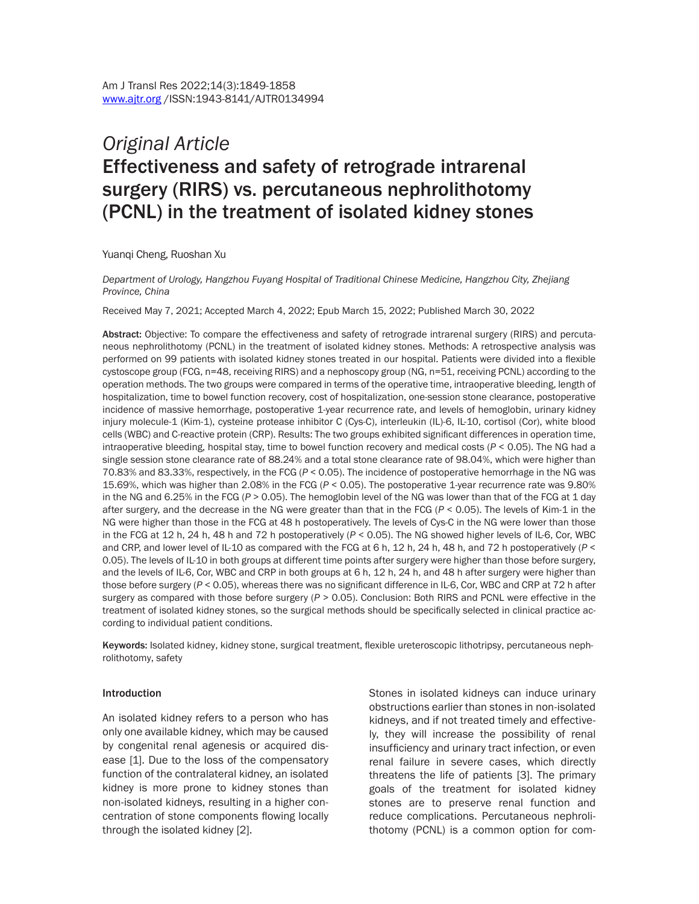# *Original Article* Effectiveness and safety of retrograde intrarenal surgery (RIRS) vs. percutaneous nephrolithotomy (PCNL) in the treatment of isolated kidney stones

Yuanqi Cheng, Ruoshan Xu

*Department of Urology, Hangzhou Fuyang Hospital of Traditional Chinese Medicine, Hangzhou City, Zhejiang Province, China*

Received May 7, 2021; Accepted March 4, 2022; Epub March 15, 2022; Published March 30, 2022

Abstract: Objective: To compare the effectiveness and safety of retrograde intrarenal surgery (RIRS) and percutaneous nephrolithotomy (PCNL) in the treatment of isolated kidney stones. Methods: A retrospective analysis was performed on 99 patients with isolated kidney stones treated in our hospital. Patients were divided into a flexible cystoscope group (FCG, n=48, receiving RIRS) and a nephoscopy group (NG, n=51, receiving PCNL) according to the operation methods. The two groups were compared in terms of the operative time, intraoperative bleeding, length of hospitalization, time to bowel function recovery, cost of hospitalization, one-session stone clearance, postoperative incidence of massive hemorrhage, postoperative 1-year recurrence rate, and levels of hemoglobin, urinary kidney injury molecule-1 (Kim-1), cysteine protease inhibitor C (Cys-C), interleukin (IL)-6, IL-10, cortisol (Cor), white blood cells (WBC) and C-reactive protein (CRP). Results: The two groups exhibited significant differences in operation time, intraoperative bleeding, hospital stay, time to bowel function recovery and medical costs (*P* < 0.05). The NG had a single session stone clearance rate of 88.24% and a total stone clearance rate of 98.04%, which were higher than 70.83% and 83.33%, respectively, in the FCG (*P* < 0.05). The incidence of postoperative hemorrhage in the NG was 15.69%, which was higher than 2.08% in the FCG (*P* < 0.05). The postoperative 1-year recurrence rate was 9.80% in the NG and 6.25% in the FCG (*P* > 0.05). The hemoglobin level of the NG was lower than that of the FCG at 1 day after surgery, and the decrease in the NG were greater than that in the FCG (*P* < 0.05). The levels of Kim-1 in the NG were higher than those in the FCG at 48 h postoperatively. The levels of Cys-C in the NG were lower than those in the FCG at 12 h, 24 h, 48 h and 72 h postoperatively (*P* < 0.05). The NG showed higher levels of IL-6, Cor, WBC and CRP, and lower level of IL-10 as compared with the FCG at 6 h, 12 h, 24 h, 48 h, and 72 h postoperatively (*P* < 0.05). The levels of IL-10 in both groups at different time points after surgery were higher than those before surgery, and the levels of IL-6, Cor, WBC and CRP in both groups at 6 h, 12 h, 24 h, and 48 h after surgery were higher than those before surgery ( $P < 0.05$ ), whereas there was no significant difference in IL-6, Cor, WBC and CRP at 72 h after surgery as compared with those before surgery ( $P > 0.05$ ). Conclusion: Both RIRS and PCNL were effective in the treatment of isolated kidney stones, so the surgical methods should be specifically selected in clinical practice according to individual patient conditions.

Keywords: Isolated kidney, kidney stone, surgical treatment, flexible ureteroscopic lithotripsy, percutaneous nephrolithotomy, safety

#### Introduction

An isolated kidney refers to a person who has only one available kidney, which may be caused by congenital renal agenesis or acquired disease [1]. Due to the loss of the compensatory function of the contralateral kidney, an isolated kidney is more prone to kidney stones than non-isolated kidneys, resulting in a higher concentration of stone components flowing locally through the isolated kidney [2].

Stones in isolated kidneys can induce urinary obstructions earlier than stones in non-isolated kidneys, and if not treated timely and effectively, they will increase the possibility of renal insufficiency and urinary tract infection, or even renal failure in severe cases, which directly threatens the life of patients [3]. The primary goals of the treatment for isolated kidney stones are to preserve renal function and reduce complications. Percutaneous nephrolithotomy (PCNL) is a common option for com-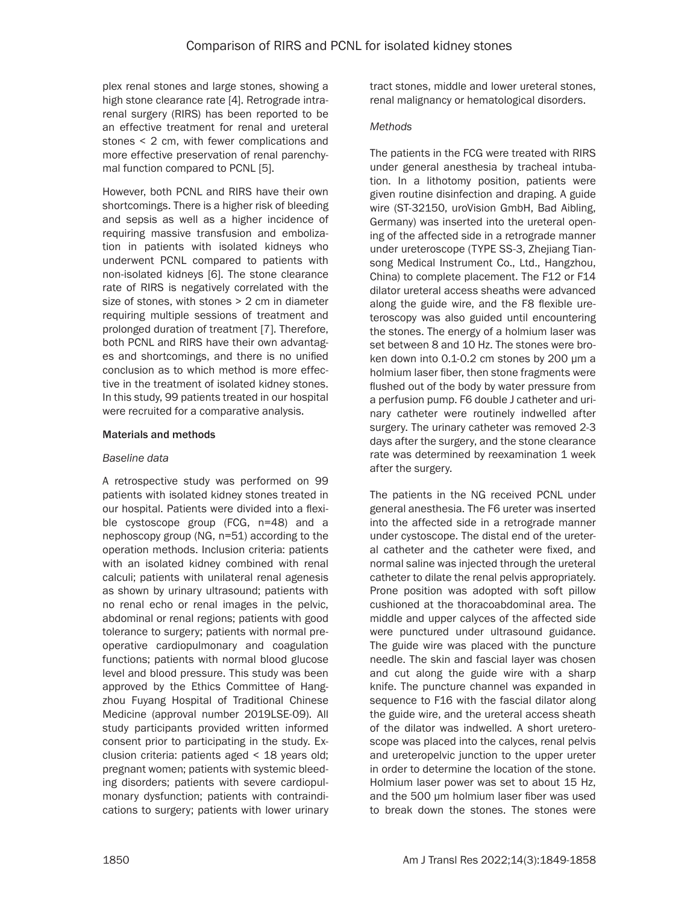plex renal stones and large stones, showing a high stone clearance rate [4]. Retrograde intrarenal surgery (RIRS) has been reported to be an effective treatment for renal and ureteral stones < 2 cm, with fewer complications and more effective preservation of renal parenchymal function compared to PCNL [5].

However, both PCNL and RIRS have their own shortcomings. There is a higher risk of bleeding and sepsis as well as a higher incidence of requiring massive transfusion and embolization in patients with isolated kidneys who underwent PCNL compared to patients with non-isolated kidneys [6]. The stone clearance rate of RIRS is negatively correlated with the size of stones, with stones > 2 cm in diameter requiring multiple sessions of treatment and prolonged duration of treatment [7]. Therefore, both PCNL and RIRS have their own advantages and shortcomings, and there is no unified conclusion as to which method is more effective in the treatment of isolated kidney stones. In this study, 99 patients treated in our hospital were recruited for a comparative analysis.

## Materials and methods

## *Baseline data*

A retrospective study was performed on 99 patients with isolated kidney stones treated in our hospital. Patients were divided into a flexible cystoscope group (FCG, n=48) and a nephoscopy group (NG, n=51) according to the operation methods. Inclusion criteria: patients with an isolated kidney combined with renal calculi; patients with unilateral renal agenesis as shown by urinary ultrasound; patients with no renal echo or renal images in the pelvic, abdominal or renal regions; patients with good tolerance to surgery; patients with normal preoperative cardiopulmonary and coagulation functions; patients with normal blood glucose level and blood pressure. This study was been approved by the Ethics Committee of Hangzhou Fuyang Hospital of Traditional Chinese Medicine (approval number 2019LSE-09). All study participants provided written informed consent prior to participating in the study. Exclusion criteria: patients aged < 18 years old; pregnant women; patients with systemic bleeding disorders; patients with severe cardiopulmonary dysfunction; patients with contraindications to surgery; patients with lower urinary tract stones, middle and lower ureteral stones, renal malignancy or hematological disorders.

## *Methods*

The patients in the FCG were treated with RIRS under general anesthesia by tracheal intubation. In a lithotomy position, patients were given routine disinfection and draping. A guide wire (ST-32150, uroVision GmbH, Bad Aibling, Germany) was inserted into the ureteral opening of the affected side in a retrograde manner under ureteroscope (TYPE SS-3, Zhejiang Tiansong Medical Instrument Co., Ltd., Hangzhou, China) to complete placement. The F12 or F14 dilator ureteral access sheaths were advanced along the guide wire, and the F8 flexible ureteroscopy was also guided until encountering the stones. The energy of a holmium laser was set between 8 and 10 Hz. The stones were broken down into 0.1-0.2 cm stones by 200 μm a holmium laser fiber, then stone fragments were flushed out of the body by water pressure from a perfusion pump. F6 double J catheter and urinary catheter were routinely indwelled after surgery. The urinary catheter was removed 2-3 days after the surgery, and the stone clearance rate was determined by reexamination 1 week after the surgery.

The patients in the NG received PCNL under general anesthesia. The F6 ureter was inserted into the affected side in a retrograde manner under cystoscope. The distal end of the ureteral catheter and the catheter were fixed, and normal saline was injected through the ureteral catheter to dilate the renal pelvis appropriately. Prone position was adopted with soft pillow cushioned at the thoracoabdominal area. The middle and upper calyces of the affected side were punctured under ultrasound guidance. The guide wire was placed with the puncture needle. The skin and fascial layer was chosen and cut along the guide wire with a sharp knife. The puncture channel was expanded in sequence to F16 with the fascial dilator along the guide wire, and the ureteral access sheath of the dilator was indwelled. A short ureteroscope was placed into the calyces, renal pelvis and ureteropelvic junction to the upper ureter in order to determine the location of the stone. Holmium laser power was set to about 15 Hz, and the 500 μm holmium laser fiber was used to break down the stones. The stones were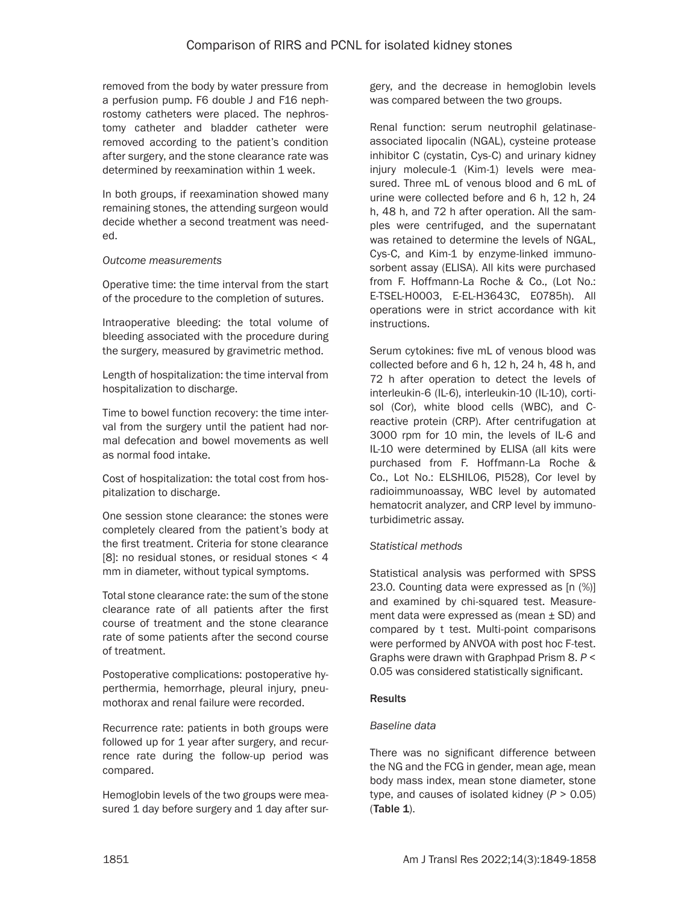removed from the body by water pressure from a perfusion pump. F6 double J and F16 nephrostomy catheters were placed. The nephrostomy catheter and bladder catheter were removed according to the patient's condition after surgery, and the stone clearance rate was determined by reexamination within 1 week.

In both groups, if reexamination showed many remaining stones, the attending surgeon would decide whether a second treatment was needed.

## *Outcome measurements*

Operative time: the time interval from the start of the procedure to the completion of sutures.

Intraoperative bleeding: the total volume of bleeding associated with the procedure during the surgery, measured by gravimetric method.

Length of hospitalization: the time interval from hospitalization to discharge.

Time to bowel function recovery: the time interval from the surgery until the patient had normal defecation and bowel movements as well as normal food intake.

Cost of hospitalization: the total cost from hospitalization to discharge.

One session stone clearance: the stones were completely cleared from the patient's body at the first treatment. Criteria for stone clearance [8]: no residual stones, or residual stones < 4 mm in diameter, without typical symptoms.

Total stone clearance rate: the sum of the stone clearance rate of all patients after the first course of treatment and the stone clearance rate of some patients after the second course of treatment.

Postoperative complications: postoperative hyperthermia, hemorrhage, pleural injury, pneumothorax and renal failure were recorded.

Recurrence rate: patients in both groups were followed up for 1 year after surgery, and recurrence rate during the follow-up period was compared.

Hemoglobin levels of the two groups were measured 1 day before surgery and 1 day after surgery, and the decrease in hemoglobin levels was compared between the two groups.

Renal function: serum neutrophil gelatinaseassociated lipocalin (NGAL), cysteine protease inhibitor C (cystatin, Cys-C) and urinary kidney injury molecule-1 (Kim-1) levels were measured. Three mL of venous blood and 6 mL of urine were collected before and 6 h, 12 h, 24 h, 48 h, and 72 h after operation. All the samples were centrifuged, and the supernatant was retained to determine the levels of NGAL, Cys-C, and Kim-1 by enzyme-linked immunosorbent assay (ELISA). All kits were purchased from F. Hoffmann-La Roche & Co., (Lot No.: E-TSEL-H0003, E-EL-H3643C, E0785h). All operations were in strict accordance with kit instructions.

Serum cytokines: five mL of venous blood was collected before and 6 h, 12 h, 24 h, 48 h, and 72 h after operation to detect the levels of interleukin-6 (IL-6), interleukin-10 (IL-10), cortisol (Cor), white blood cells (WBC), and Creactive protein (CRP). After centrifugation at 3000 rpm for 10 min, the levels of IL-6 and IL-10 were determined by ELISA (all kits were purchased from F. Hoffmann-La Roche & Co., Lot No.: ELSHIL06, PI528), Cor level by radioimmunoassay, WBC level by automated hematocrit analyzer, and CRP level by immunoturbidimetric assay.

# *Statistical methods*

Statistical analysis was performed with SPSS 23.0. Counting data were expressed as [n (%)] and examined by chi-squared test. Measurement data were expressed as (mean ± SD) and compared by t test. Multi-point comparisons were performed by ANVOA with post hoc F-test. Graphs were drawn with Graphpad Prism 8. *P* < 0.05 was considered statistically significant.

# Results

# *Baseline data*

There was no significant difference between the NG and the FCG in gender, mean age, mean body mass index, mean stone diameter, stone type, and causes of isolated kidney (*P* > 0.05) (Table 1).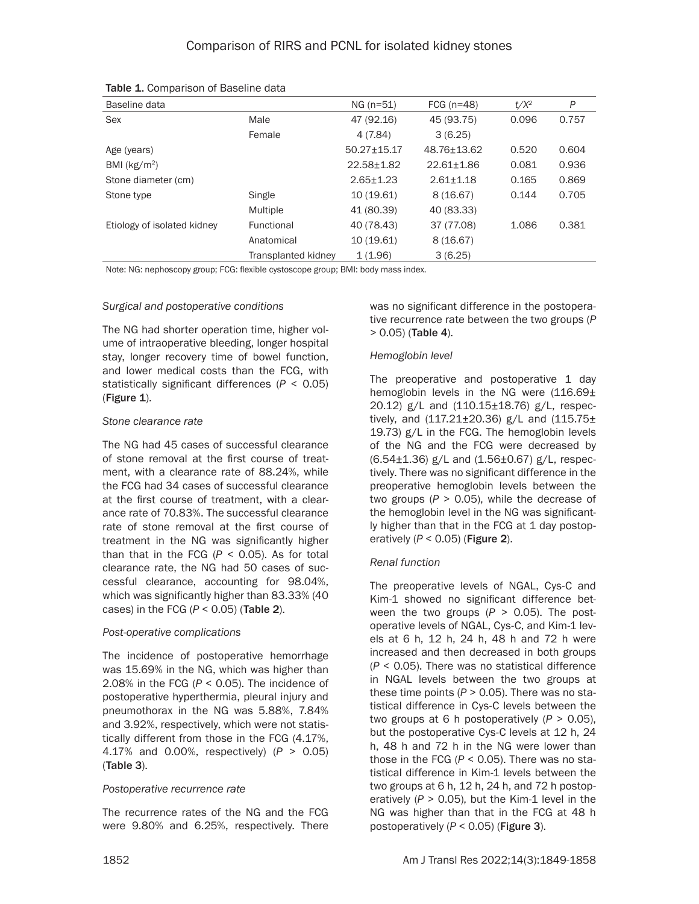| Baseline data               |                     | $NG (n=51)$      | FCG $(n=48)$     | $t/X^2$ | P     |
|-----------------------------|---------------------|------------------|------------------|---------|-------|
| Sex                         | Male                | 47 (92.16)       | 45 (93.75)       | 0.096   | 0.757 |
|                             | Female              | 4 (7.84)         | 3(6.25)          |         |       |
| Age (years)                 |                     | $50.27 + 15.17$  | 48.76+13.62      | 0.520   | 0.604 |
| BMI ( $kg/m2$ )             |                     | $22.58 \pm 1.82$ | $22.61 \pm 1.86$ | 0.081   | 0.936 |
| Stone diameter (cm)         |                     | $2.65 + 1.23$    | $2.61 + 1.18$    | 0.165   | 0.869 |
| Stone type                  | Single              | 10 (19.61)       | 8(16.67)         | 0.144   | 0.705 |
|                             | Multiple            | 41 (80.39)       | 40 (83.33)       |         |       |
| Etiology of isolated kidney | Functional          | 40 (78.43)       | 37 (77.08)       | 1.086   | 0.381 |
|                             | Anatomical          | 10 (19.61)       | 8(16.67)         |         |       |
|                             | Transplanted kidnev | 1(1.96)          | 3(6.25)          |         |       |

Table 1. Comparison of Baseline data

Note: NG: nephoscopy group; FCG: flexible cystoscope group; BMI: body mass index.

#### *Surgical and postoperative conditions*

The NG had shorter operation time, higher volume of intraoperative bleeding, longer hospital stay, longer recovery time of bowel function, and lower medical costs than the FCG, with statistically significant differences (*P* < 0.05) (Figure 1).

## *Stone clearance rate*

The NG had 45 cases of successful clearance of stone removal at the first course of treatment, with a clearance rate of 88.24%, while the FCG had 34 cases of successful clearance at the first course of treatment, with a clearance rate of 70.83%. The successful clearance rate of stone removal at the first course of treatment in the NG was significantly higher than that in the FCG (*P* < 0.05). As for total clearance rate, the NG had 50 cases of successful clearance, accounting for 98.04%, which was significantly higher than 83.33% (40 cases) in the FCG  $(P < 0.05)$  (Table 2).

## *Post-operative complications*

The incidence of postoperative hemorrhage was 15.69% in the NG, which was higher than 2.08% in the FCG (*P* < 0.05). The incidence of postoperative hyperthermia, pleural injury and pneumothorax in the NG was 5.88%, 7.84% and 3.92%, respectively, which were not statistically different from those in the FCG (4.17%, 4.17% and 0.00%, respectively) (*P* > 0.05) (Table 3).

## *Postoperative recurrence rate*

The recurrence rates of the NG and the FCG were 9.80% and 6.25%, respectively. There was no significant difference in the postoperative recurrence rate between the two groups (*P*  > 0.05) (Table 4).

#### *Hemoglobin level*

The preoperative and postoperative 1 day hemoglobin levels in the NG were  $(116.69\pm$ 20.12) g/L and (110.15±18.76) g/L, respectively, and  $(117.21 \pm 20.36)$  g/L and  $(115.75 \pm 1)$ 19.73) g/L in the FCG. The hemoglobin levels of the NG and the FCG were decreased by  $(6.54 \pm 1.36)$  g/L and  $(1.56 \pm 0.67)$  g/L, respectively. There was no significant difference in the preoperative hemoglobin levels between the two groups  $(P > 0.05)$ , while the decrease of the hemoglobin level in the NG was significantly higher than that in the FCG at 1 day postoperatively (*P* < 0.05) (Figure 2).

## *Renal function*

The preoperative levels of NGAL, Cys-C and Kim-1 showed no significant difference between the two groups (*P* > 0.05). The postoperative levels of NGAL, Cys-C, and Kim-1 levels at 6 h, 12 h, 24 h, 48 h and 72 h were increased and then decreased in both groups (*P* < 0.05). There was no statistical difference in NGAL levels between the two groups at these time points (*P* > 0.05). There was no statistical difference in Cys-C levels between the two groups at 6 h postoperatively (*P* > 0.05), but the postoperative Cys-C levels at 12 h, 24 h, 48 h and 72 h in the NG were lower than those in the FCG (*P* < 0.05). There was no statistical difference in Kim-1 levels between the two groups at 6 h, 12 h, 24 h, and 72 h postoperatively  $(P > 0.05)$ , but the Kim-1 level in the NG was higher than that in the FCG at 48 h postoperatively (*P* < 0.05) (Figure 3).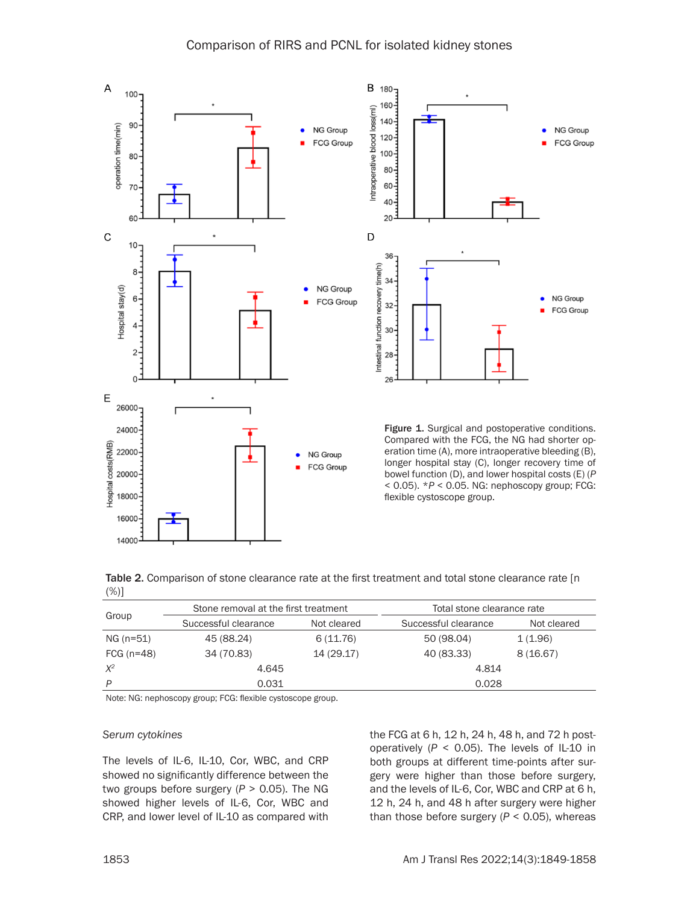

|     | Table 2. Comparison of stone clearance rate at the first treatment and total stone clearance rate [n] |  |  |  |
|-----|-------------------------------------------------------------------------------------------------------|--|--|--|
| (%) |                                                                                                       |  |  |  |

| Group        | Stone removal at the first treatment |             | Total stone clearance rate |             |  |
|--------------|--------------------------------------|-------------|----------------------------|-------------|--|
|              | Successful clearance                 | Not cleared | Successful clearance       | Not cleared |  |
| NG (n=51)    | 45 (88.24)                           | 6(11.76)    | 50 (98.04)                 | 1(1.96)     |  |
| FCG $(n=48)$ | 34 (70.83)                           | 14 (29.17)  | 40 (83.33)                 | 8(16.67)    |  |
| $X^2$        | 4.645                                |             | 4.814                      |             |  |
| P            | 0.031                                |             | 0.028                      |             |  |

Note: NG: nephoscopy group; FCG: flexible cystoscope group.

#### *Serum cytokines*

The levels of IL-6, IL-10, Cor, WBC, and CRP showed no significantly difference between the two groups before surgery (*P* > 0.05). The NG showed higher levels of IL-6, Cor, WBC and CRP, and lower level of IL-10 as compared with

the FCG at 6 h, 12 h, 24 h, 48 h, and 72 h postoperatively (*P* < 0.05). The levels of IL-10 in both groups at different time-points after surgery were higher than those before surgery, and the levels of IL-6, Cor, WBC and CRP at 6 h, 12 h, 24 h, and 48 h after surgery were higher than those before surgery  $(P < 0.05)$ , whereas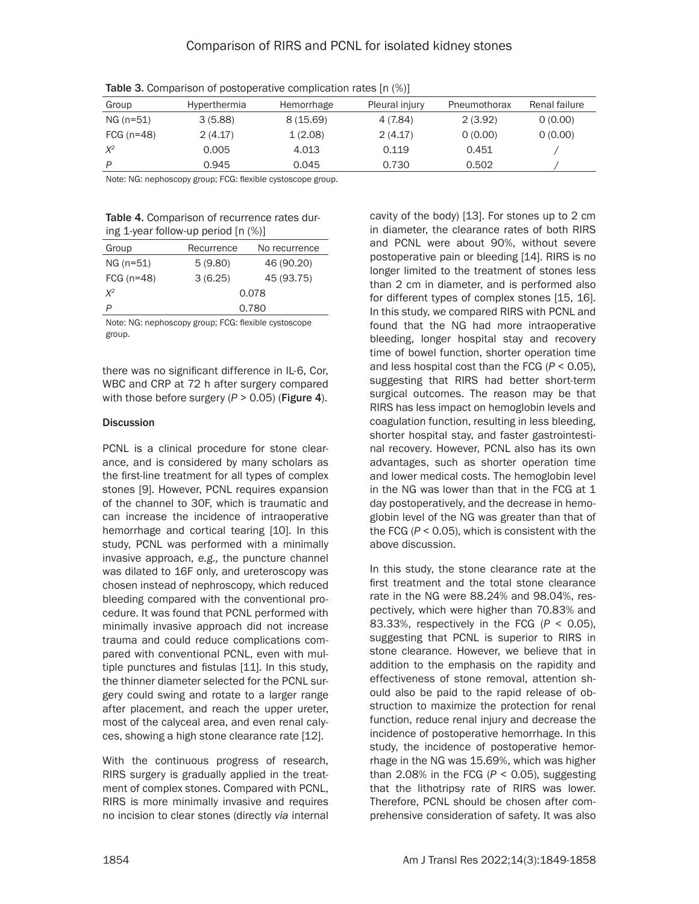| Group        | Hyperthermia | Hemorrhage | Pleural injury | Pneumothorax | Renal failure |
|--------------|--------------|------------|----------------|--------------|---------------|
| NG (n=51)    | 3(5.88)      | 8(15.69)   | 4 (7.84)       | 2(3.92)      | 0(0.00)       |
| FCG $(n=48)$ | 2(4.17)      | 1(2.08)    | 2(4.17)        | 0(0.00)      | 0(0.00)       |
| $X^2$        | 0.005        | 4.013      | 0.119          | 0.451        |               |
| D            | 0.945        | 0.045      | 0.730          | 0.502        |               |

Table 3. Comparison of postoperative complication rates [n (%)]

Note: NG: nephoscopy group; FCG: flexible cystoscope group.

| <b>Table 4.</b> Comparison of recurrence rates dur- |
|-----------------------------------------------------|
| ing 1-year follow-up period $[n \ (\%)]$            |

| Group        | Recurrence | No recurrence |  |  |
|--------------|------------|---------------|--|--|
| NG (n=51)    | 5(9.80)    | 46 (90.20)    |  |  |
| FCG $(n=48)$ | 3(6.25)    | 45 (93.75)    |  |  |
| $X^2$        | 0.078      |               |  |  |
| P            | 0.780      |               |  |  |

Note: NG: nephoscopy group; FCG: flexible cystoscope group.

there was no significant difference in IL-6, Cor, WBC and CRP at 72 h after surgery compared with those before surgery  $(P > 0.05)$  (**Figure 4**).

# **Discussion**

PCNL is a clinical procedure for stone clearance, and is considered by many scholars as the first-line treatment for all types of complex stones [9]. However, PCNL requires expansion of the channel to 30F, which is traumatic and can increase the incidence of intraoperative hemorrhage and cortical tearing [10]. In this study, PCNL was performed with a minimally invasive approach, *e.g.,* the puncture channel was dilated to 16F only, and ureteroscopy was chosen instead of nephroscopy, which reduced bleeding compared with the conventional procedure. It was found that PCNL performed with minimally invasive approach did not increase trauma and could reduce complications compared with conventional PCNL, even with multiple punctures and fistulas [11]. In this study, the thinner diameter selected for the PCNL surgery could swing and rotate to a larger range after placement, and reach the upper ureter, most of the calyceal area, and even renal calyces, showing a high stone clearance rate [12].

With the continuous progress of research, RIRS surgery is gradually applied in the treatment of complex stones. Compared with PCNL, RIRS is more minimally invasive and requires no incision to clear stones (directly *via* internal cavity of the body) [13]. For stones up to 2 cm in diameter, the clearance rates of both RIRS and PCNL were about 90%, without severe postoperative pain or bleeding [14]. RIRS is no longer limited to the treatment of stones less than 2 cm in diameter, and is performed also for different types of complex stones [15, 16]. In this study, we compared RIRS with PCNL and found that the NG had more intraoperative bleeding, longer hospital stay and recovery time of bowel function, shorter operation time and less hospital cost than the FCG (*P* < 0.05), suggesting that RIRS had better short-term surgical outcomes. The reason may be that RIRS has less impact on hemoglobin levels and coagulation function, resulting in less bleeding, shorter hospital stay, and faster gastrointestinal recovery. However, PCNL also has its own advantages, such as shorter operation time and lower medical costs. The hemoglobin level in the NG was lower than that in the FCG at 1 day postoperatively, and the decrease in hemoglobin level of the NG was greater than that of the FCG  $(P < 0.05)$ , which is consistent with the above discussion.

In this study, the stone clearance rate at the first treatment and the total stone clearance rate in the NG were 88.24% and 98.04%, respectively, which were higher than 70.83% and 83.33%, respectively in the FCG (*P* < 0.05), suggesting that PCNL is superior to RIRS in stone clearance. However, we believe that in addition to the emphasis on the rapidity and effectiveness of stone removal, attention should also be paid to the rapid release of obstruction to maximize the protection for renal function, reduce renal injury and decrease the incidence of postoperative hemorrhage. In this study, the incidence of postoperative hemorrhage in the NG was 15.69%, which was higher than 2.08% in the FCG  $(P < 0.05)$ , suggesting that the lithotripsy rate of RIRS was lower. Therefore, PCNL should be chosen after comprehensive consideration of safety. It was also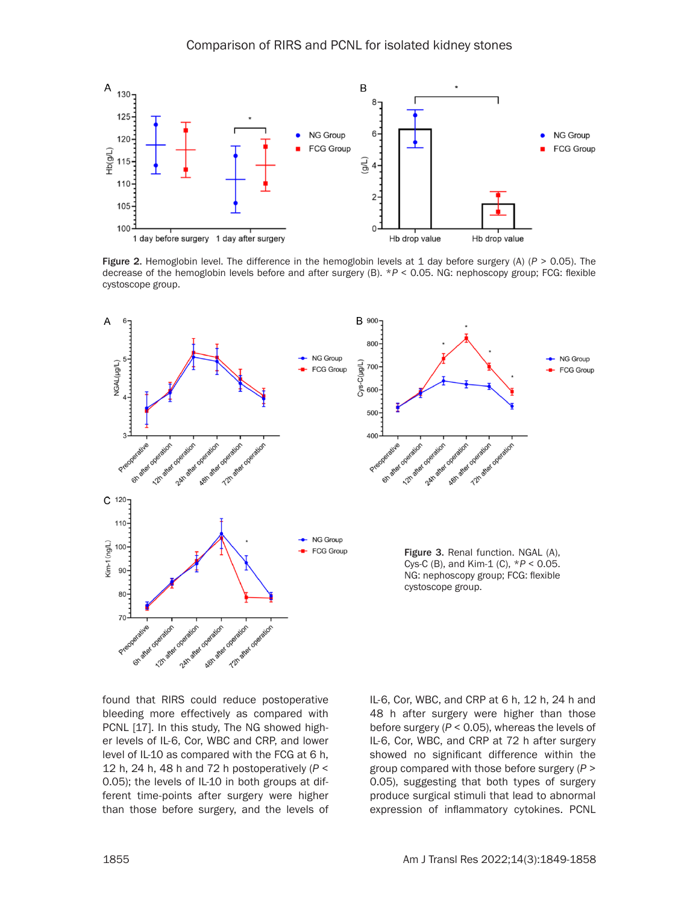

Figure 2. Hemoglobin level. The difference in the hemoglobin levels at 1 day before surgery (A) (*P* > 0.05). The decrease of the hemoglobin levels before and after surgery (B). \**P* < 0.05. NG: nephoscopy group; FCG: flexible cystoscope group.



found that RIRS could reduce postoperative bleeding more effectively as compared with PCNL [17]. In this study, The NG showed higher levels of IL-6, Cor, WBC and CRP, and lower level of IL-10 as compared with the FCG at 6 h, 12 h, 24 h, 48 h and 72 h postoperatively (*P* < 0.05); the levels of IL-10 in both groups at different time-points after surgery were higher than those before surgery, and the levels of IL-6, Cor, WBC, and CRP at 6 h, 12 h, 24 h and 48 h after surgery were higher than those before surgery (*P* < 0.05), whereas the levels of IL-6, Cor, WBC, and CRP at 72 h after surgery showed no significant difference within the group compared with those before surgery (*P* > 0.05), suggesting that both types of surgery produce surgical stimuli that lead to abnormal expression of inflammatory cytokines. PCNL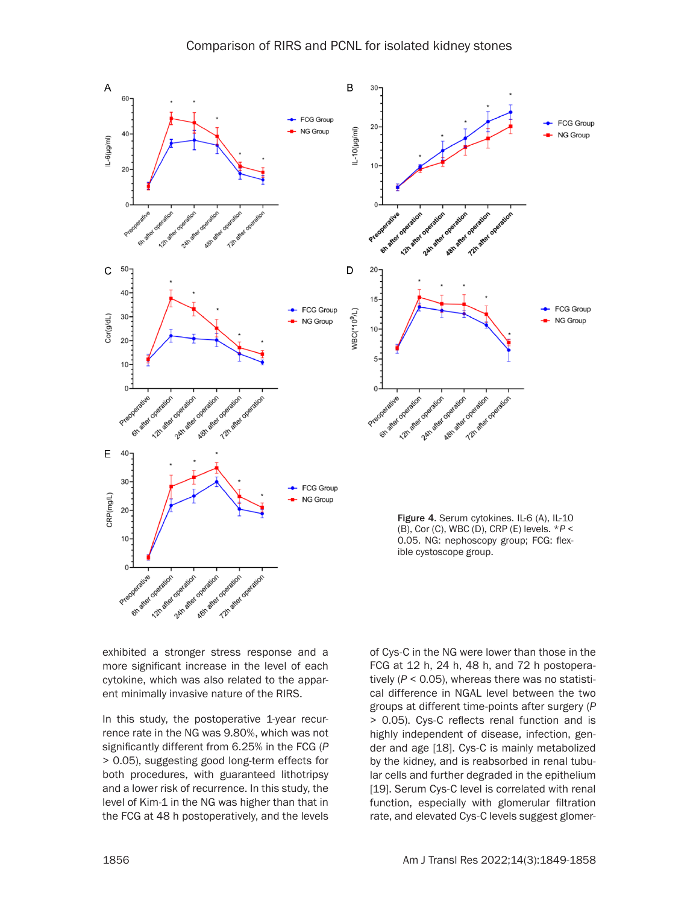

exhibited a stronger stress response and a more significant increase in the level of each cytokine, which was also related to the apparent minimally invasive nature of the RIRS.

In this study, the postoperative 1-year recurrence rate in the NG was 9.80%, which was not significantly different from 6.25% in the FCG (*P*  > 0.05), suggesting good long-term effects for both procedures, with guaranteed lithotripsy and a lower risk of recurrence. In this study, the level of Kim-1 in the NG was higher than that in the FCG at 48 h postoperatively, and the levels

of Cys-C in the NG were lower than those in the FCG at 12 h, 24 h, 48 h, and 72 h postoperatively (*P* < 0.05), whereas there was no statistical difference in NGAL level between the two groups at different time-points after surgery (*P* > 0.05). Cys-C reflects renal function and is highly independent of disease, infection, gender and age [18]. Cys-C is mainly metabolized by the kidney, and is reabsorbed in renal tubular cells and further degraded in the epithelium [19]. Serum Cys-C level is correlated with renal function, especially with glomerular filtration rate, and elevated Cys-C levels suggest glomer-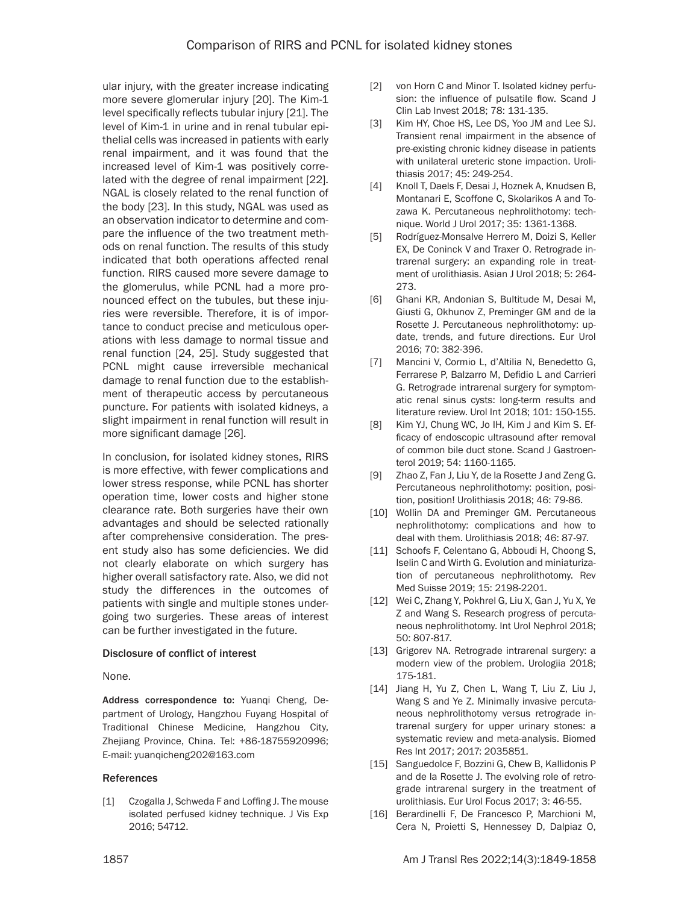ular injury, with the greater increase indicating more severe glomerular injury [20]. The Kim-1 level specifically reflects tubular injury [21]. The level of Kim-1 in urine and in renal tubular epithelial cells was increased in patients with early renal impairment, and it was found that the increased level of Kim-1 was positively correlated with the degree of renal impairment [22]. NGAL is closely related to the renal function of the body [23]. In this study, NGAL was used as an observation indicator to determine and compare the influence of the two treatment methods on renal function. The results of this study indicated that both operations affected renal function. RIRS caused more severe damage to the glomerulus, while PCNL had a more pronounced effect on the tubules, but these injuries were reversible. Therefore, it is of importance to conduct precise and meticulous operations with less damage to normal tissue and renal function [24, 25]. Study suggested that PCNL might cause irreversible mechanical damage to renal function due to the establishment of therapeutic access by percutaneous puncture. For patients with isolated kidneys, a slight impairment in renal function will result in more significant damage [26].

In conclusion, for isolated kidney stones, RIRS is more effective, with fewer complications and lower stress response, while PCNL has shorter operation time, lower costs and higher stone clearance rate. Both surgeries have their own advantages and should be selected rationally after comprehensive consideration. The present study also has some deficiencies. We did not clearly elaborate on which surgery has higher overall satisfactory rate. Also, we did not study the differences in the outcomes of patients with single and multiple stones undergoing two surgeries. These areas of interest can be further investigated in the future.

## Disclosure of conflict of interest

None.

Address correspondence to: Yuanqi Cheng, Department of Urology, Hangzhou Fuyang Hospital of Traditional Chinese Medicine, Hangzhou City, Zhejiang Province, China. Tel: +86-18755920996; E-mail: [yuanqicheng202@163.com](mailto:yuanqicheng202@163.com)

#### References

[1] Czogalla J, Schweda F and Loffing J. The mouse isolated perfused kidney technique. J Vis Exp 2016; 54712.

- [2] von Horn C and Minor T. Isolated kidney perfusion: the influence of pulsatile flow. Scand J Clin Lab Invest 2018; 78: 131-135.
- [3] Kim HY, Choe HS, Lee DS, Yoo JM and Lee SJ. Transient renal impairment in the absence of pre-existing chronic kidney disease in patients with unilateral ureteric stone impaction. Urolithiasis 2017; 45: 249-254.
- [4] Knoll T, Daels F, Desai J, Hoznek A, Knudsen B, Montanari E, Scoffone C, Skolarikos A and Tozawa K. Percutaneous nephrolithotomy: technique. World J Urol 2017; 35: 1361-1368.
- [5] Rodríguez-Monsalve Herrero M, Doizi S, Keller EX, De Coninck V and Traxer O. Retrograde intrarenal surgery: an expanding role in treatment of urolithiasis. Asian J Urol 2018; 5: 264- 273.
- [6] Ghani KR, Andonian S, Bultitude M, Desai M, Giusti G, Okhunov Z, Preminger GM and de la Rosette J. Percutaneous nephrolithotomy: update, trends, and future directions. Eur Urol 2016; 70: 382-396.
- [7] Mancini V, Cormio L, d'Altilia N, Benedetto G, Ferrarese P, Balzarro M, Defidio L and Carrieri G. Retrograde intrarenal surgery for symptomatic renal sinus cysts: long-term results and literature review. Urol Int 2018; 101: 150-155.
- [8] Kim YJ, Chung WC, Jo IH, Kim J and Kim S. Efficacy of endoscopic ultrasound after removal of common bile duct stone. Scand J Gastroenterol 2019; 54: 1160-1165.
- [9] Zhao Z, Fan J, Liu Y, de la Rosette J and Zeng G. Percutaneous nephrolithotomy: position, position, position! Urolithiasis 2018; 46: 79-86.
- [10] Wollin DA and Preminger GM. Percutaneous nephrolithotomy: complications and how to deal with them. Urolithiasis 2018; 46: 87-97.
- [11] Schoofs F, Celentano G, Abboudi H, Choong S, Iselin C and Wirth G. Evolution and miniaturization of percutaneous nephrolithotomy. Rev Med Suisse 2019; 15: 2198-2201.
- [12] Wei C, Zhang Y, Pokhrel G, Liu X, Gan J, Yu X, Ye Z and Wang S. Research progress of percutaneous nephrolithotomy. Int Urol Nephrol 2018; 50: 807-817.
- [13] Grigorev NA. Retrograde intrarenal surgery: a modern view of the problem. Urologiia 2018; 175-181.
- [14] Jiang H, Yu Z, Chen L, Wang T, Liu Z, Liu J, Wang S and Ye Z. Minimally invasive percutaneous nephrolithotomy versus retrograde intrarenal surgery for upper urinary stones: a systematic review and meta-analysis. Biomed Res Int 2017; 2017: 2035851.
- [15] Sanguedolce F, Bozzini G, Chew B, Kallidonis P and de la Rosette J. The evolving role of retrograde intrarenal surgery in the treatment of urolithiasis. Eur Urol Focus 2017; 3: 46-55.
- [16] Berardinelli F, De Francesco P, Marchioni M, Cera N, Proietti S, Hennessey D, Dalpiaz O,